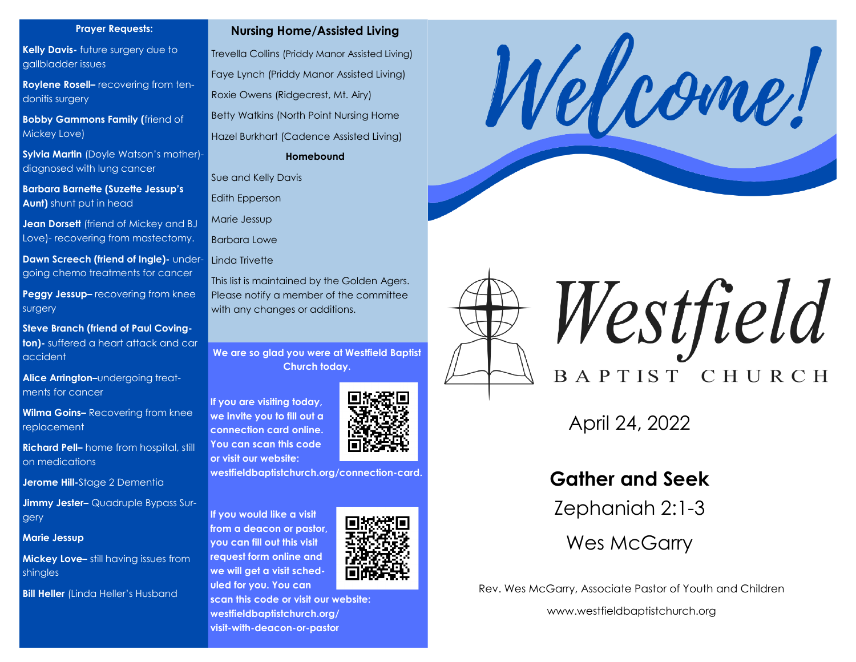#### **Prayer Requests:**

**Kelly Davis-** future surgery due to gallbladder issues

**Roylene Rosell–** recovering from tendonitis surgery

**Bobby Gammons Family (**friend of Mickey Love)

**Sylvia Martin** (Doyle Watson's mother) diagnosed with lung cancer

**Barbara Barnette (Suzette Jessup's Aunt)** shunt put in head

**Jean Dorsett** (friend of Mickey and BJ Love)- recovering from mastectomy.

**Dawn Screech (friend of Ingle)-** undergoing chemo treatments for cancer

**Peggy Jessup–** recovering from knee surgery

**Steve Branch (friend of Paul Covington)-** suffered a heart attack and car accident

**Alice Arrington–**undergoing treatments for cancer

**Wilma Goins–** Recovering from knee replacement

**Richard Pell–** home from hospital, still on medications

**Jerome Hill-**Stage 2 Dementia

**Jimmy Jester–** Quadruple Bypass Surgery

**Marie Jessup**

**Mickey Love–** still having issues from shingles

**Bill Heller** (Linda Heller's Husband

#### **Nursing Home/Assisted Living**

Trevella Collins (Priddy Manor Assisted Living) Faye Lynch (Priddy Manor Assisted Living) Roxie Owens (Ridgecrest, Mt. Airy) Betty Watkins (North Point Nursing Home Hazel Burkhart (Cadence Assisted Living)

**Homebound**

Sue and Kelly Davis

Edith Epperson

Marie Jessup

Barbara Lowe

Linda Trivette

This list is maintained by the Golden Agers. Please notify a member of the committee with any changes or additions.

**We are so glad you were at Westfield Baptist Church today.** 

**If you are visiting today, we invite you to fill out a connection card online. You can scan this code or visit our website:**



**westfieldbaptistchurch.org/connection-card.** 

**If you would like a visit from a deacon or pastor, you can fill out this visit request form online and we will get a visit scheduled for you. You can** 







Westfield BAPTIST CHURCH

April 24, 2022

# **Gather and Seek**

Zephaniah 2:1-3

Wes McGarry

Rev. Wes McGarry, Associate Pastor of Youth and Children

www.westfieldbaptistchurch.org